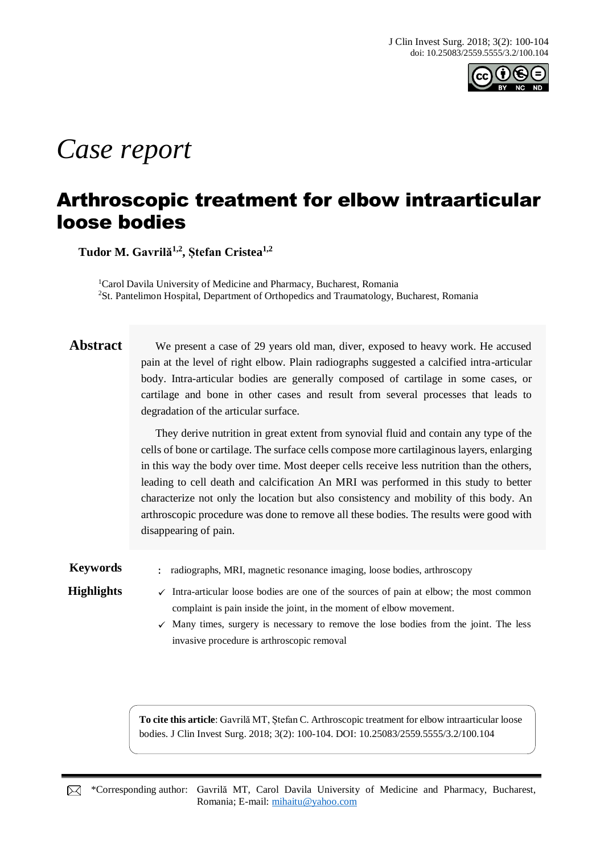

# *Case report*

## Arthroscopic treatment for elbow intraarticular loose bodies

**Tudor M. Gavrilă1,2 , Ștefan Cristea1,2**

<sup>1</sup>Carol Davila University of Medicine and Pharmacy, Bucharest, Romania <sup>2</sup>St. Pantelimon Hospital, Department of Orthopedics and Traumatology, Bucharest, Romania

Abstract We present a case of 29 years old man, diver, exposed to heavy work. He accused pain at the level of right elbow. Plain radiographs suggested a calcified intra-articular body. Intra-articular bodies are generally composed of cartilage in some cases, or cartilage and bone in other cases and result from several processes that leads to degradation of the articular surface.

> They derive nutrition in great extent from synovial fluid and contain any type of the cells of bone or cartilage. The surface cells compose more cartilaginous layers, enlarging in this way the body over time. Most deeper cells receive less nutrition than the others, leading to cell death and calcification An MRI was performed in this study to better characterize not only the location but also consistency and mobility of this body. An arthroscopic procedure was done to remove all these bodies. The results were good with disappearing of pain.

**Keywords** : radiographs, MRI, magnetic resonance imaging, loose bodies, arthroscopy

**Highlights**  $\checkmark$  Intra-articular loose bodies are one of the sources of pain at elbow; the most common complaint is pain inside the joint, in the moment of elbow movement.

> $\checkmark$  Many times, surgery is necessary to remove the lose bodies from the joint. The less invasive procedure is arthroscopic removal

**To cite this article**: Gavrilă MT, Ștefan C. Arthroscopic treatment for elbow intraarticular loose bodies. J Clin Invest Surg. 2018; 3(2): 100-104. DOI: 10.25083/2559.5555/3.2/100.104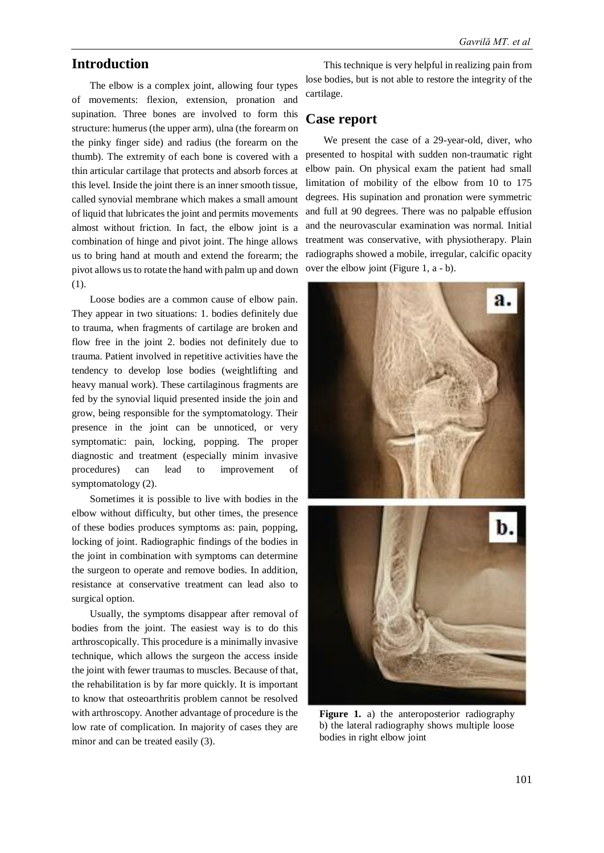#### **Introduction**

The elbow is a complex joint, allowing four types of movements: flexion, extension, pronation and supination. Three bones are involved to form this structure: humerus (the upper arm), ulna (the forearm on the pinky finger side) and radius (the forearm on the thumb). The extremity of each bone is covered with a thin articular cartilage that protects and absorb forces at this level. Inside the joint there is an inner smooth tissue, called synovial membrane which makes a small amount of liquid that lubricates the joint and permits movements almost without friction. In fact, the elbow joint is a combination of hinge and pivot joint. The hinge allows us to bring hand at mouth and extend the forearm; the pivot allows us to rotate the hand with palm up and down (1).

Loose bodies are a common cause of elbow pain. They appear in two situations: 1. bodies definitely due to trauma, when fragments of cartilage are broken and flow free in the joint 2. bodies not definitely due to trauma. Patient involved in repetitive activities have the tendency to develop lose bodies (weightlifting and heavy manual work). These cartilaginous fragments are fed by the synovial liquid presented inside the join and grow, being responsible for the symptomatology. Their presence in the joint can be unnoticed, or very symptomatic: pain, locking, popping. The proper diagnostic and treatment (especially minim invasive procedures) can lead to improvement of symptomatology (2).

Sometimes it is possible to live with bodies in the elbow without difficulty, but other times, the presence of these bodies produces symptoms as: pain, popping, locking of joint. Radiographic findings of the bodies in the joint in combination with symptoms can determine the surgeon to operate and remove bodies. In addition, resistance at conservative treatment can lead also to surgical option.

Usually, the symptoms disappear after removal of bodies from the joint. The easiest way is to do this arthroscopically. This procedure is a minimally invasive technique, which allows the surgeon the access inside the joint with fewer traumas to muscles. Because of that, the rehabilitation is by far more quickly. It is important to know that osteoarthritis problem cannot be resolved with arthroscopy. Another advantage of procedure is the low rate of complication. In majority of cases they are minor and can be treated easily (3).

This technique is very helpful in realizing pain from lose bodies, but is not able to restore the integrity of the cartilage.

#### **Case report**

We present the case of a 29-year-old, diver, who presented to hospital with sudden non-traumatic right elbow pain. On physical exam the patient had small limitation of mobility of the elbow from 10 to 175 degrees. His supination and pronation were symmetric and full at 90 degrees. There was no palpable effusion and the neurovascular examination was normal. Initial treatment was conservative, with physiotherapy. Plain radiographs showed a mobile, irregular, calcific opacity over the elbow joint (Figure 1, a - b).



**Figure 1.** a) the anteroposterior radiography b) the lateral radiography shows multiple loose bodies in right elbow joint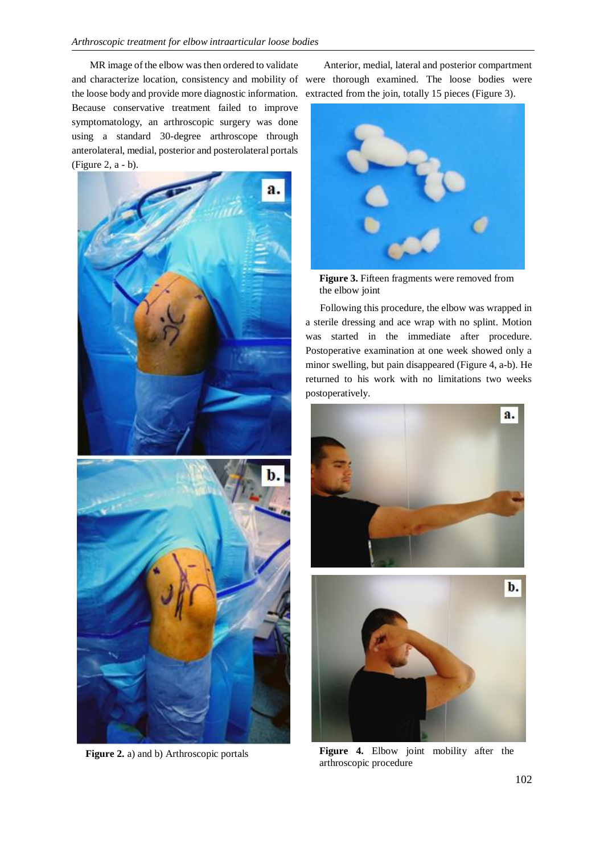MR image of the elbow was then ordered to validate and characterize location, consistency and mobility of were thorough examined. The loose bodies were the loose body and provide more diagnostic information. Because conservative treatment failed to improve symptomatology, an arthroscopic surgery was done using a standard 30-degree arthroscope through anterolateral, medial, posterior and posterolateral portals (Figure 2, a - b).



Anterior, medial, lateral and posterior compartment extracted from the join, totally 15 pieces (Figure 3).



**Figure 3.** Fifteen fragments were removed from the elbow joint

Following this procedure, the elbow was wrapped in a sterile dressing and ace wrap with no splint. Motion was started in the immediate after procedure. Postoperative examination at one week showed only a minor swelling, but pain disappeared (Figure 4, a-b). He returned to his work with no limitations two weeks postoperatively.



**Figure 4.** Elbow joint mobility after the arthroscopic procedure

**Figure 2.** a) and b) Arthroscopic portals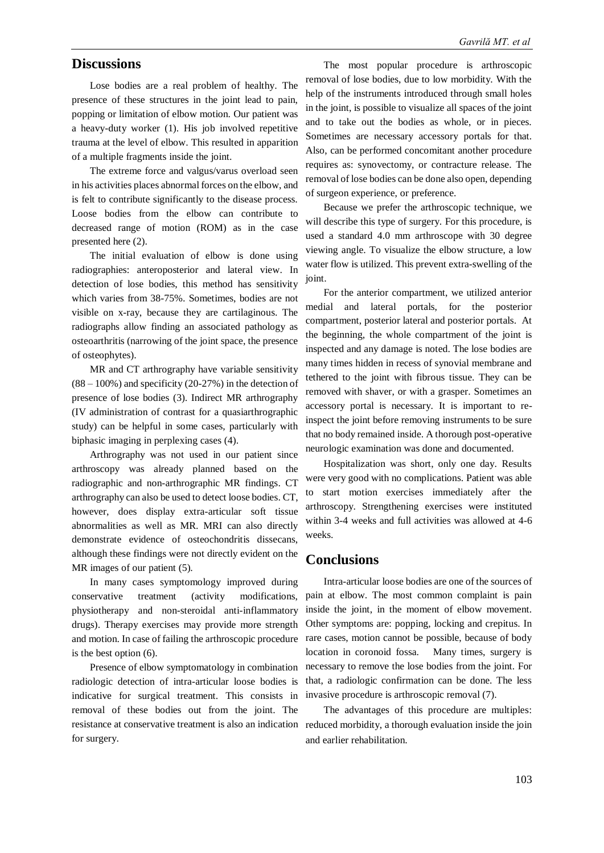#### **Discussions**

Lose bodies are a real problem of healthy. The presence of these structures in the joint lead to pain, popping or limitation of elbow motion. Our patient was a heavy-duty worker (1). His job involved repetitive trauma at the level of elbow. This resulted in apparition of a multiple fragments inside the joint.

The extreme force and valgus/varus overload seen in his activities places abnormal forces on the elbow, and is felt to contribute significantly to the disease process. Loose bodies from the elbow can contribute to decreased range of motion (ROM) as in the case presented here (2).

The initial evaluation of elbow is done using radiographies: anteroposterior and lateral view. In detection of lose bodies, this method has sensitivity which varies from 38-75%. Sometimes, bodies are not visible on x-ray, because they are cartilaginous. The radiographs allow finding an associated pathology as osteoarthritis (narrowing of the joint space, the presence of osteophytes).

MR and CT arthrography have variable sensitivity  $(88 - 100\%)$  and specificity (20-27%) in the detection of presence of lose bodies (3). Indirect MR arthrography (IV administration of contrast for a quasiarthrographic study) can be helpful in some cases, particularly with biphasic imaging in perplexing cases (4).

Arthrography was not used in our patient since arthroscopy was already planned based on the radiographic and non-arthrographic MR findings. CT arthrography can also be used to detect loose bodies. CT, however, does display extra-articular soft tissue abnormalities as well as MR. MRI can also directly demonstrate evidence of osteochondritis dissecans, although these findings were not directly evident on the MR images of our patient (5).

In many cases symptomology improved during conservative treatment (activity modifications, physiotherapy and non-steroidal anti-inflammatory drugs). Therapy exercises may provide more strength and motion. In case of failing the arthroscopic procedure is the best option (6).

Presence of elbow symptomatology in combination radiologic detection of intra-articular loose bodies is indicative for surgical treatment. This consists in removal of these bodies out from the joint. The resistance at conservative treatment is also an indication for surgery.

The most popular procedure is arthroscopic removal of lose bodies, due to low morbidity. With the help of the instruments introduced through small holes in the joint, is possible to visualize all spaces of the joint and to take out the bodies as whole, or in pieces. Sometimes are necessary accessory portals for that. Also, can be performed concomitant another procedure requires as: synovectomy, or contracture release. The removal of lose bodies can be done also open, depending of surgeon experience, or preference.

Because we prefer the arthroscopic technique, we will describe this type of surgery. For this procedure, is used a standard 4.0 mm arthroscope with 30 degree viewing angle. To visualize the elbow structure, a low water flow is utilized. This prevent extra-swelling of the joint.

For the anterior compartment, we utilized anterior medial and lateral portals, for the posterior compartment, posterior lateral and posterior portals. At the beginning, the whole compartment of the joint is inspected and any damage is noted. The lose bodies are many times hidden in recess of synovial membrane and tethered to the joint with fibrous tissue. They can be removed with shaver, or with a grasper. Sometimes an accessory portal is necessary. It is important to reinspect the joint before removing instruments to be sure that no body remained inside. A thorough post-operative neurologic examination was done and documented.

Hospitalization was short, only one day. Results were very good with no complications. Patient was able to start motion exercises immediately after the arthroscopy. Strengthening exercises were instituted within 3-4 weeks and full activities was allowed at 4-6 weeks.

#### **Conclusions**

Intra-articular loose bodies are one of the sources of pain at elbow. The most common complaint is pain inside the joint, in the moment of elbow movement. Other symptoms are: popping, locking and crepitus. In rare cases, motion cannot be possible, because of body location in coronoid fossa. Many times, surgery is necessary to remove the lose bodies from the joint. For that, a radiologic confirmation can be done. The less invasive procedure is arthroscopic removal (7).

The advantages of this procedure are multiples: reduced morbidity, a thorough evaluation inside the join and earlier rehabilitation.